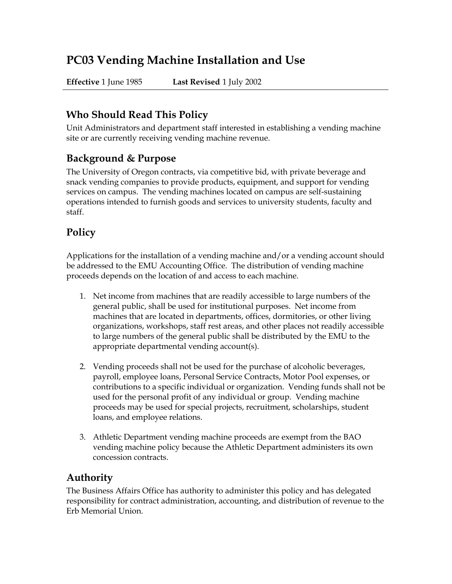# **PC03 Vending Machine Installation and Use**

**Effective** 1 June 1985 **Last Revised** 1 July 2002

### **Who Should Read This Policy**

Unit Administrators and department staff interested in establishing a vending machine site or are currently receiving vending machine revenue.

#### **Background & Purpose**

The University of Oregon contracts, via competitive bid, with private beverage and snack vending companies to provide products, equipment, and support for vending services on campus. The vending machines located on campus are self-sustaining operations intended to furnish goods and services to university students, faculty and staff.

## **Policy**

Applications for the installation of a vending machine and/or a vending account should be addressed to the EMU Accounting Office. The distribution of vending machine proceeds depends on the location of and access to each machine.

- 1. Net income from machines that are readily accessible to large numbers of the general public, shall be used for institutional purposes. Net income from machines that are located in departments, offices, dormitories, or other living organizations, workshops, staff rest areas, and other places not readily accessible to large numbers of the general public shall be distributed by the EMU to the appropriate departmental vending account(s).
- 2. Vending proceeds shall not be used for the purchase of alcoholic beverages, payroll, employee loans, Personal Service Contracts, Motor Pool expenses, or contributions to a specific individual or organization. Vending funds shall not be used for the personal profit of any individual or group. Vending machine proceeds may be used for special projects, recruitment, scholarships, student loans, and employee relations.
- 3. Athletic Department vending machine proceeds are exempt from the BAO vending machine policy because the Athletic Department administers its own concession contracts.

### **Authority**

The Business Affairs Office has authority to administer this policy and has delegated responsibility for contract administration, accounting, and distribution of revenue to the Erb Memorial Union.